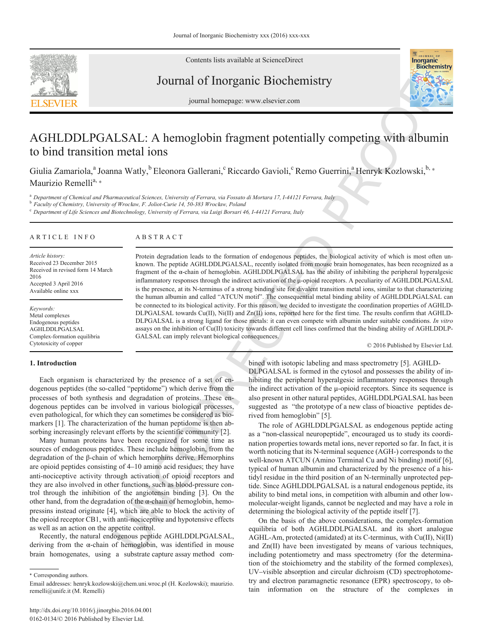

Contents lists available at ScienceDirect

### Journal of Inorganic Biochemistry



journal homepage: www.elsevier.com

# Properting with albumin<br>
Buerrini,<sup>a</sup> Henryk Kozlowski,<sup>b,\*</sup> AGHLDDLPGALSAL: A hemoglobin fragment potentially competing with albumin to bind transition metal ions

Giulia Zamariola,<sup>a</sup> Joanna Watly,<sup>b</sup> Eleonora Gallerani,<sup>c</sup> Riccardo Gavioli,<sup>c</sup> Remo Guerrini,<sup>a</sup> Henryk Kozlowski,<sup>b,</sup>\* Maurizio Remelli<sup>a, \*</sup>

<sup>a</sup> *Department of Chemical and Pharmaceutical Sciences, University of Ferrara, via Fossato di Mortara 17, I-44121 Ferrara, Italy*

<sup>b</sup> *Faculty of Chemistry, University of Wroc*ł*aw, F. Joliot-Curie 14, 50-383 Wroc*ł*aw, Poland*

<sup>c</sup> *Department of Life Sciences and Biotechnology, University of Ferrara, via Luigi Borsari 46, I-44121 Ferrara, Italy*

#### ARTICLE INFO

#### ABSTRACT

*Article history:* Received 23 December 2015 Received in revised form 14 March 2016 Accepted 3 April 2016 Available online xxx

*Keywords:* Metal complexes Endogenous peptides AGHLDDLPGALSAL Complex-formation equilibria Cytotoxicity of copper

## A B S T R A C T<br>
Protein degradation leads to the formation of endogenous peptides, the biological<br>
known. The peptide AGHLDDDLPGAALSAL, recently isolated from monogle brain hor<br>
framement of the oc-bain of hemoglobin. AG Protein degradation leads to the formation of endogenous peptides, the biological activity of which is most often unknown. The peptide AGHLDDLPGALSAL, recently isolated from mouse brain homogenates, has been recognized as a fragment of the α-chain of hemoglobin. AGHLDDLPGALSAL has the ability of inhibiting the peripheral hyperalgesic inflammatory responses through the indirect activation of the μ-opioid receptors. A peculiarity of AGHLDDLPGALSAL is the presence, at its N-terminus of a strong binding site for divalent transition metal ions, similar to that characterizing the human albumin and called "ATCUN motif". The consequential metal binding ability of AGHLDDLPGALSAL can be connected to its biological activity. For this reason, we decided to investigate the coordination properties of AGHLD-DLPGALSAL towards Cu(II), Ni(II) and Zn(II) ions, reported here for the first time. The results confirm that AGHLD-DLPGALSAL is a strong ligand for those metals: it can even compete with albumin under suitable conditions. *In vitro* assays on the inhibition of Cu(II) toxicity towards different cell lines confirmed that the binding ability of AGHLDDLP-GALSAL can imply relevant biological consequences.

© 2016 Published by Elsevier Ltd.

#### **1. Introduction**

Each organism is characterized by the presence of a set of endogenous peptides (the so-called "peptidome") which derive from the processes of both synthesis and degradation of proteins. These endogenous peptides can be involved in various biological processes, even pathological, for which they can sometimes be considered as biomarkers [1]. The characterization of the human peptidome is then absorbing increasingly relevant efforts by the scientific community [2].

Many human proteins have been recognized for some time as sources of endogenous peptides. These include hemoglobin, from the degradation of the β-chain of which hemorphins derive. Hemorphins are opioid peptides consisting of 4–10 amino acid residues; they have anti-nociceptive activity through activation of opioid receptors and they are also involved in other functions, such as blood-pressure control through the inhibition of the angiotensin binding [3]. On the other hand, from the degradation of the α-chain of hemoglobin, hemopressins instead originate [4], which are able to block the activity of the opioid receptor CB1, with anti-nociceptive and hypotensive effects as well as an action on the appetite control.

Recently, the natural endogenous peptide AGHLDDLPGALSAL, deriving from the  $\alpha$ -chain of hemoglobin, was identified in mouse brain homogenates, using a substrate capture assay method com

⁎ Corresponding authors.

bined with isotopic labeling and mass spectrometry [5]. AGHLD-DLPGALSAL is formed in the cytosol and possesses the ability of inhibiting the peripheral hyperalgesic inflammatory responses through the indirect activation of the  $\mu$ -opioid receptors. Since its sequence is also present in other natural peptides, AGHLDDLPGALSAL has been suggested as "the prototype of a new class of bioactive peptides derived from hemoglobin" [5].

The role of AGHLDDLPGALSAL as endogenous peptide acting as a "non-classical neuropeptide", encouraged us to study its coordination properties towards metal ions, never reported so far. In fact, it is worth noticing that its N-terminal sequence (AGH-) corresponds to the well-known ATCUN (Amino Terminal Cu and Ni binding) motif [6], typical of human albumin and characterized by the presence of a histidyl residue in the third position of an N-terminally unprotected peptide. Since AGHLDDLPGALSAL is a natural endogenous peptide, its ability to bind metal ions, in competition with albumin and other lowmolecular-weight ligands, cannot be neglected and may have a role in determining the biological activity of the peptide itself [7].

On the basis of the above considerations, the complex-formation equilibria of both AGHLDDLPGALSAL and its short analogue AGHL-Am, protected (amidated) at its C-terminus, with Cu(II), Ni(II) and Zn(II) have been investigated by means of various techniques, including potentiometry and mass spectrometry (for the determination of the stoichiometry and the stability of the formed complexes), UV–visible absorption and circular dichroism (CD) spectrophotometry and electron paramagnetic resonance (EPR) spectroscopy, to obtain information on the structure of the complexes in

Email addresses: henryk.kozlowski@chem.uni.wroc.pl (H. Kozlowski); maurizio. remelli@unife.it (M. Remelli)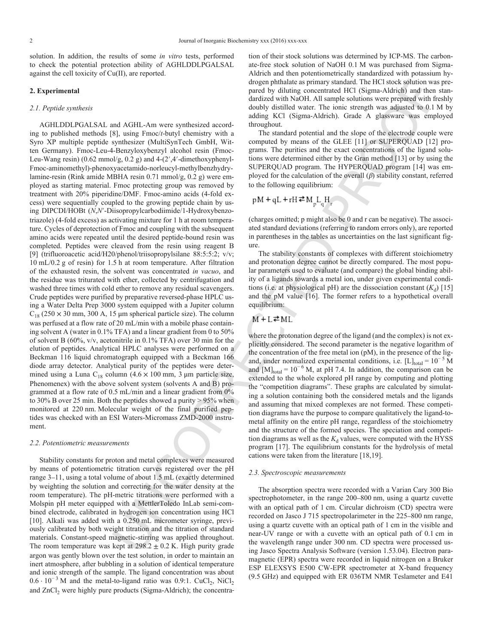solution. In addition, the results of some *in vitro* tests, performed to check the potential protection ability of AGHLDDLPGALSAL against the cell toxicity of Cu(II), are reported.

#### **2. Experimental**

#### *2.1. Peptide synthesis*

denote the HUN and CHII AP were systemation to the proposition in FIF (10 to the system of the HUN and the system of the HUN and the System of the System of the HUN and the System of the System of the System of the System AGHLDDLPGALSAL and AGHL-Am were synthesized according to published methods [8], using Fmoc/*t*-butyl chemistry with a Syro XP multiple peptide synthesizer (MultiSynTech GmbH, Witten Germany). Fmoc-Leu-4-Benzyloxybenzyl alcohol resin (Fmoc-Leu-Wang resin) (0.62 mmol/g, 0.2 g) and 4-(2′,4′-dimethoxyphenyl-Fmoc-aminomethyl)-phenoxyacetamido-norleucyl-methylbenzhydrylamine-resin (Rink amide MBHA resin 0.71 mmol/g, 0.2 g) were employed as starting material. Fmoc protecting group was removed by treatment with 20% piperidine/DMF. Fmoc-amino acids (4-fold excess) were sequentially coupled to the growing peptide chain by using DIPCDI/HOBt (*N*,*N*′-Diisopropylcarbodiimide/1-Hydroxybenzotriazole) (4-fold excess) as activating mixture for 1 h at room temperature. Cycles of deprotection of Fmoc and coupling with the subsequent amino acids were repeated until the desired peptide-bound resin was completed. Peptides were cleaved from the resin using reagent B [9] (trifluoroacetic acid/H20/phenol/triisopropylsilane 88:5:5:2; v/v; 10 mL/0.2 g of resin) for 1.5 h at room temperature. After filtration of the exhausted resin, the solvent was concentrated *in vacuo*, and the residue was triturated with ether, collected by centrifugation and washed three times with cold ether to remove any residual scavengers. Crude peptides were purified by preparative reversed-phase HPLC using a Water Delta Prep 3000 system equipped with a Jupiter column  $C_{18}$  (250 × 30 mm, 300 A, 15 µm spherical particle size). The column was perfused at a flow rate of 20 mL/min with a mobile phase containing solvent A (water in 0.1% TFA) and a linear gradient from 0 to 50% of solvent B (60%, v/v, acetonitrile in 0.1% TFA) over 30 min for the elution of peptides. Analytical HPLC analyses were performed on a Beckman 116 liquid chromatograph equipped with a Beckman 166 diode array detector. Analytical purity of the peptides were determined using a Luna C<sub>18</sub> column (4.6  $\times$  100 mm, 3 µm particle size, Phenomenex) with the above solvent system (solvents A and B) programmed at a flow rate of 0.5 mL/min and a linear gradient from 0% to 30% B over 25 min. Both the peptides showed a purity > 95% when monitored at 220 nm. Molecular weight of the final purified peptides was checked with an ESI Waters-Micromass ZMD-2000 instrument.

#### *2.2. Potentiometric measurements*

Stability constants for proton and metal complexes were measured by means of potentiometric titration curves registered over the pH range 3–11, using a total volume of about 1.5 mL (exactly determined by weighting the solution and correcting for the water density at the room temperature). The pH-metric titrations were performed with a Molspin pH meter equipped with a MettlerToledo InLab semi-combined electrode, calibrated in hydrogen ion concentration using HCl [10]. Alkali was added with a 0.250 mL micrometer syringe, previously calibrated by both weight titration and the titration of standard materials. Constant-speed magnetic-stirring was applied throughout. The room temperature was kept at  $298.2 \pm 0.2$  K. High purity grade argon was gently blown over the test solution, in order to maintain an inert atmosphere, after bubbling in a solution of identical temperature and ionic strength of the sample. The ligand concentration was about  $0.6 \cdot 10^{-3}$  M and the metal-to-ligand ratio was 0.9:1. CuCl<sub>2</sub>, NiCl<sub>2</sub> and ZnCl<sub>2</sub> were highly pure products (Sigma-Aldrich); the concentration of their stock solutions was determined by ICP-MS. The carbonate-free stock solution of NaOH 0.1 M was purchased from Sigma-Aldrich and then potentiometrically standardized with potassium hydrogen phthalate as primary standard. The HCl stock solution was prepared by diluting concentrated HCl (Sigma-Aldrich) and then standardized with NaOH. All sample solutions were prepared with freshly doubly distilled water. The ionic strength was adjusted to 0.1 M by adding KCl (Sigma-Aldrich). Grade A glassware was employed throughout.

The standard potential and the slope of the electrode couple were computed by means of the GLEE [11] or SUPERQUAD [12] programs. The purities and the exact concentrations of the ligand solutions were determined either by the Gran method [13] or by using the SUPERQUAD program. The HYPERQUAD program [14] was employed for the calculation of the overall  $(\beta)$  stability constant, referred to the following equilibrium:

$$
pM + qL + rH \rightleftarrows M_{n}L_{n}H_{r}
$$

(charges omitted; p might also be 0 and r can be negative). The associated standard deviations (referring to random errors only), are reported in parentheses in the tables as uncertainties on the last significant figure.

The stability constants of complexes with different stoichiometry and protonation degree cannot be directly compared. The most popular parameters used to evaluate (and compare) the global binding ability of a ligands towards a metal ion, under given experimental conditions (i.e. at physiological pH) are the dissociation constant  $(K_d)$  [15] and the pM value [16]. The former refers to a hypothetical overall equilibrium:

where the protonation degree of the ligand (and the complex) is not explicitly considered. The second parameter is the negative logarithm of the concentration of the free metal ion (pM), in the presence of the ligand, under normalized experimental conditions, i.e.  $[L]_{total} = 10^{-5}$  M and  $[M]_{total} = 10^{-6}$  M, at pH 7.4. In addition, the comparison can be extended to the whole explored pH range by computing and plotting the "competition diagrams". These graphs are calculated by simulating a solution containing both the considered metals and the ligands and assuming that mixed complexes are not formed. These competition diagrams have the purpose to compare qualitatively the ligand-tometal affinity on the entire pH range, regardless of the stoichiometry and the structure of the formed species. The speciation and competition diagrams as well as the  $K_d$  values, were computed with the HYSS program [17]. The equilibrium constants for the hydrolysis of metal cations were taken from the literature [18,19].

#### *2.3. Spectroscopic measurements*

The absorption spectra were recorded with a Varian Cary 300 Bio spectrophotometer, in the range 200–800 nm, using a quartz cuvette with an optical path of 1 cm. Circular dichroism (CD) spectra were recorded on Jasco J 715 spectropolarimeter in the 225–800 nm range, using a quartz cuvette with an optical path of 1 cm in the visible and near-UV range or with a cuvette with an optical path of 0.1 cm in the wavelength range under 300 nm. CD spectra were processed using Jasco Spectra Analysis Software (version 1.53.04). Electron paramagnetic (EPR) spectra were recorded in liquid nitrogen on a Bruker ESP ELEXSYS E500 CW-EPR spectrometer at X-band frequency (9.5 GHz) and equipped with ER 036TM NMR Teslameter and E41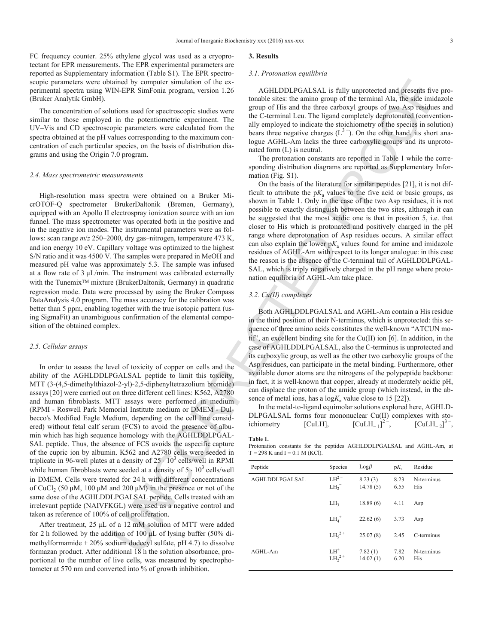FC frequency counter. 25% ethylene glycol was used as a cryoprotectant for EPR measurements. The EPR experimental parameters are reported as Supplementary information (Table S1). The EPR spectroscopic parameters were obtained by computer simulation of the experimental spectra using WIN-EPR SimFonia program, version 1.26 (Bruker Analytik GmbH).

The concentration of solutions used for spectroscopic studies were similar to those employed in the potentiometric experiment. The UV–Vis and CD spectroscopic parameters were calculated from the spectra obtained at the pH values corresponding to the maximum concentration of each particular species, on the basis of distribution diagrams and using the Origin 7.0 program.

#### *2.4. Mass spectrometric measurements*

High-resolution mass spectra were obtained on a Bruker MicrOTOF-Q spectrometer BrukerDaltonik (Bremen, Germany), equipped with an Apollo II electrospray ionization source with an ion funnel. The mass spectrometer was operated both in the positive and in the negative ion modes. The instrumental parameters were as follows: scan range *m*/*z* 250–2000, dry gas–nitrogen, temperature 473 K, and ion energy 10 eV. Capillary voltage was optimized to the highest S/N ratio and it was 4500 V. The samples were prepared in MeOH and measured pH value was approximately 5.3. The sample was infused at a flow rate of  $3 \mu L/min$ . The instrument was calibrated externally with the Tunemix<sup>™</sup> mixture (BrukerDaltonik, Germany) in quadratic regression mode. Data were processed by using the Bruker Compass DataAnalysis 4.0 program. The mass accuracy for the calibration was better than 5 ppm, enabling together with the true isotopic pattern (using SigmaFit) an unambiguous confirmation of the elemental composition of the obtained complex.

#### *2.5. Cellular assays*

In order to assess the level of toxicity of copper on cells and the ability of the AGHLDDLPGALSAL peptide to limit this toxicity, MTT (3-(4,5-dimethylthiazol-2-yl)-2,5-diphenyltetrazolium bromide) assays [20] were carried out on three different cell lines: K562, A2780 and human fibroblasts. MTT assays were performed in medium (RPMI - Roswell Park Memorial Institute medium or DMEM - Dulbecco's Modified Eagle Medium, depending on the cell line considered) without fetal calf serum (FCS) to avoid the presence of albumin which has high sequence homology with the AGHLDDLPGAL-SAL peptide. Thus, the absence of FCS avoids the aspecific capture of the cupric ion by albumin. K562 and A2780 cells were seeded in triplicate in 96-well plates at a density of  $25 \cdot 10^3$  cells/well in RPMI while human fibroblasts were seeded at a density of  $5 \cdot 10^3$  cells/well in DMEM. Cells were treated for 24 h with different concentrations of CuCl<sub>2</sub> (50  $\mu$ M, 100  $\mu$ M and 200  $\mu$ M) in the presence or not of the same dose of the AGHLDDLPGALSAL peptide. Cells treated with an irrelevant peptide (NAIVFKGL) were used as a negative control and taken as reference of 100% of cell proliferation.

After treatment, 25 μL of a 12 mM solution of MTT were added for 2 h followed by the addition of 100  $\mu$ L of lysing buffer (50% dimethylformamide + 20% sodium dodecyl sulfate, pH 4.7) to dissolve formazan product. After additional 18 h the solution absorbance, proportional to the number of live cells, was measured by spectrophotometer at 570 nm and converted into % of growth inhibition.

#### **3. Results**

#### *3.1. Protonation equilibria*

AGHLDDLPGALSAL is fully unprotected and presents five protonable sites: the amino group of the terminal Ala, the side imidazole group of His and the three carboxyl groups of two Asp residues and the C-terminal Leu. The ligand completely deprotonated (conventionally employed to indicate the stoichiometry of the species in solution) bears three negative charges  $(L^3)$ . On the other hand, its short analogue AGHL-Am lacks the three carboxylic groups and its unprotonated form (L) is neutral.

The protonation constants are reported in Table 1 while the corresponding distribution diagrams are reported as Supplementary Information (Fig. S1).

and by computer smallered on a Dree Constitution of the ex-<br>
UNCORRECTE COMPASSAL CONSTRAINS (CONSTRAINS CONSTRAINS CONSTRAINS CONSTRAINS CONSTRAINS CONSTRAINS (CONSTRAINS CONSTRAINS) and the ex-<br>
USE of a proposed in thi On the basis of the literature for similar peptides [21], it is not difficult to attribute the  $pK_a$  values to the five acid or basic groups, as shown in Table 1. Only in the case of the two Asp residues, it is not possible to exactly distinguish between the two sites, although it can be suggested that the most acidic one is that in position 5, i.e. that closer to His which is protonated and positively charged in the pH range where deprotonation of Asp residues occurs. A similar effect can also explain the lower  $pK_a$  values found for amine and imidazole residues of AGHL-Am with respect to its longer analogue: in this case the reason is the absence of the C-terminal tail of AGHLDDLPGAL-SAL, which is triply negatively charged in the pH range where protonation equilibria of AGHL-Am take place.

#### *3.2. Cu(II) complexes*

Both AGHLDDLPGALSAL and AGHL-Am contain a His residue in the third position of their N-terminus, which is unprotected: this sequence of three amino acids constitutes the well-known "ATCUN motif", an excellent binding site for the Cu(II) ion [6]. In addition, in the case of AGHLDDLPGALSAL, also the C-terminus is unprotected and its carboxylic group, as well as the other two carboxylic groups of the Asp residues, can participate in the metal binding. Furthermore, other available donor atoms are the nitrogens of the polypeptide backbone: in fact, it is well-known that copper, already at moderately acidic pH, can displace the proton of the amide group (which instead, in the absence of metal ions, has a  $log K_a$  value close to 15 [22]).

In the metal-to-ligand equimolar solutions explored here, AGHLD-DLPGALSAL forms four mononuclear Cu(II) complexes with stoichiometry [CuLH],  $[CuLH_{-1}]^{2}$  $[C u L H_{-2}]^{3}$ <sup>-</sup>,

#### **Table 1.**

Protonation constants for the peptides AGHLDDLPGALSAL and AGHL-Am, at  $T = 298$  K and  $I = 0.1$  M (KCl).

| Peptide        | Species              | $Log\beta$          | $pK_{a}$     | Residue                  |
|----------------|----------------------|---------------------|--------------|--------------------------|
| AGHLDDLPGALSAL | $LH^{2}$<br>$LH_2^-$ | 8.23(3)<br>14.78(5) | 8.23<br>6.55 | N-terminus<br><b>His</b> |
|                | LH <sub>3</sub>      | 18.89(6)            | 4.11         | Asp                      |
|                | $LH_4^+$             | 22.62(6)            | 3.73         | Asp                      |
|                | $LH52+$              | 25.07(8)            | 2.45         | C-terminus               |
| $AGHI - Am$    | $LH^+$<br>$LH22+$    | 7.82(1)<br>14.02(1) | 7.82<br>6.20 | N-terminus<br>His        |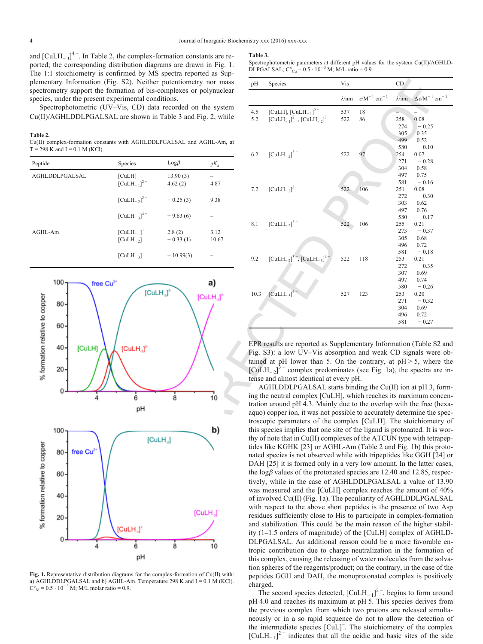and  $\left[\text{CuLH}_{-3}\right]^4$ <sup>-</sup>. In Table 2, the complex-formation constants are reported; the corresponding distribution diagrams are drawn in Fig. 1. The 1:1 stoichiometry is confirmed by MS spectra reported as Supplementary Information (Fig. S2). Neither potentiometry nor mass spectrometry support the formation of bis-complexes or polynuclear species, under the present experimental conditions.

Spectrophotometric (UV–Vis, CD) data recorded on the system Cu(II)/AGHLDDLPGALSAL are shown in Table 3 and Fig. 2, while

**Table 2.**

Cu(II) complex-formation constants with AGHLDDLPGALSAL and AGHL-Am, at  $T = 298$  K and  $I = 0.1$  M (KCl).

| Peptide        | Species                         | $Log \beta$          | $pK_a$        |
|----------------|---------------------------------|----------------------|---------------|
| AGHLDDLPGALSAL | [CuLH]<br>$[CuLH_{-1}]^{2}$     | 13.90(3)<br>4.62(2)  | 4.87          |
|                | $[CuLH_2]^{3}$                  | $-0.25(3)$           | 9.38          |
|                | $\text{[CuLH}_{-3]}^{4-}$       | $-9.63(6)$           |               |
| AGHL-Am        | $[CuLH_{-1}]^+$<br>$[CuLH_$ $]$ | 2.8(2)<br>$-0.33(1)$ | 3.12<br>10.67 |
|                | $[CuLH_{-3}]^-$                 | $-10.99(3)$          |               |



**Fig. 1.** Representative distribution diagrams for the complex-formation of Cu(II) with: a) AGHLDDLPGALSAL and b) AGHL-Am. Temperature  $298$  K and  $I = 0.1$  M (KCl).  $C<sup>o</sup><sub>M</sub> = 0.5 \cdot 10<sup>-3</sup>$  M; M/L molar ratio = 0.9.

#### **Table 3.**

Spectrophotometric parameters at different pH values for the system Cu(II)/AGHLD-DLPGALSAL;  $C^{\circ}_{Cu} = 0.5 \cdot 10^{-3}$  M; M/L ratio = 0.9.

| $m$ $m$ $m$ $s$ $y$ $m$ $s$ $s$ $p$ cena reported as $s$ ap                       |                      |                |            |                                                                                                                                                                                                                                                                                                                                                         |               |                                       |                          |                                                |
|-----------------------------------------------------------------------------------|----------------------|----------------|------------|---------------------------------------------------------------------------------------------------------------------------------------------------------------------------------------------------------------------------------------------------------------------------------------------------------------------------------------------------------|---------------|---------------------------------------|--------------------------|------------------------------------------------|
| g. S2). Neither potentiometry nor mass                                            |                      |                | pH         | Species                                                                                                                                                                                                                                                                                                                                                 | Vis           |                                       | CD                       |                                                |
| rmation of bis-complexes or polynuclear<br>perimental conditions.                 |                      |                |            |                                                                                                                                                                                                                                                                                                                                                         | $\lambda$ /nm | $\varepsilon/M^{-1}$ cm <sup>-1</sup> | $\lambda$ /nm            | $\Delta \varepsilon / M^{-1}$ cm <sup>-1</sup> |
| -Vis, CD) data recorded on the system<br>L are shown in Table 3 and Fig. 2, while |                      |                | 4.5<br>5.2 | [CuLH], $[CuLH_{-1}]^{2}$ <sup>-</sup><br>$[CuLH_{-1}]^2$ , $[CuLH_{-2}]^3$                                                                                                                                                                                                                                                                             | 537<br>522    | 18<br>86                              | 258<br>274               | 0.08<br>$-0.25$                                |
| ts with AGHLDDLPGALSAL and AGHL-Am, at                                            |                      |                |            |                                                                                                                                                                                                                                                                                                                                                         |               |                                       | 305<br>499<br>580        | 0.35<br>0.52<br>$= 0.10$                       |
| Species                                                                           | Logβ                 | $pK_a$         | 6.2        | $[CuLH_{-2}]^{3}$                                                                                                                                                                                                                                                                                                                                       | 522           | 97                                    | 254<br>271               | 0.07<br>$-0.28$                                |
| [CuLH]<br>$[CuLH_{-1}]^{2}$                                                       | 13.90(3)<br>4.62(2)  | 4.87           | 7.2        | $[CuLH_{-2}]^{3}$                                                                                                                                                                                                                                                                                                                                       |               | 106                                   | 304<br>497<br>581        | 0.58<br>0.75<br>$-0.16$                        |
| $[CuLH_{-2}]^{3}$ –                                                               | $-0.25(3)$           | 9.38           |            |                                                                                                                                                                                                                                                                                                                                                         | 522           |                                       | 251<br>272<br>303        | 0.08<br>$-0.30$<br>0.62                        |
| $\left[\text{CuLH}_{-3}\right]^{4-}$                                              | $-9.63(6)$           |                | 8.1        | $[CuLH_{-2}]$ <sup>3-</sup>                                                                                                                                                                                                                                                                                                                             | 522           | 106                                   | 497<br>580<br>255        | 0.76<br>$-0.17$<br>0.21                        |
| $\left[\text{CuLH}_{-1}\right]^+$<br>$[CuLH-2]$                                   | 2.8(2)<br>$-0.33(1)$ | 3.12<br>10.67  |            |                                                                                                                                                                                                                                                                                                                                                         |               |                                       | 273<br>305<br>496        | $-0.37$<br>0.68<br>0.72                        |
| $[CuLH_{-3}]$                                                                     | $-10.99(3)$          |                | 9.2        | $[CuLH_{-2}]^{3}$ , $[CuLH_{-3}]^{4}$                                                                                                                                                                                                                                                                                                                   | 522           | 118                                   | 581<br>253<br>272        | $-0.18$<br>0.21<br>$-0.35$                     |
|                                                                                   | $[CulH_{2}]^{3}$     | a)             | 10.3       | $\left[\text{CuLH}_{-3}\right]^4$                                                                                                                                                                                                                                                                                                                       | 527           | 123                                   | 307<br>497<br>580<br>253 | 0.69<br>0.74<br>$-0.26$<br>0.20                |
|                                                                                   |                      | $[CULH_{a}]^+$ |            |                                                                                                                                                                                                                                                                                                                                                         |               |                                       | 271<br>304<br>496        | $-0.32$<br>0.69<br>0.72                        |
|                                                                                   |                      |                |            |                                                                                                                                                                                                                                                                                                                                                         |               |                                       | 581                      | $-0.27$                                        |
| $[CulH_{d}]^{k}$                                                                  |                      |                |            | EPR results are reported as Supplementary Information (Table S2 and<br>Fig. S3): a low UV-Vis absorption and weak CD signals were ob-<br>tained at pH lower than 5. On the contrary, at $pH > 5$ , where the<br>$\text{[CuLH}_{2})^{3}$ <sup>-</sup> complex predominates (see Fig. 1a), the spectra are in-<br>tense and almost identical at every pH. |               |                                       |                          |                                                |
| 6<br>pH                                                                           | 8                    | 10             |            | AGHLDDLPGALSAL starts binding the Cu(II) ion at pH 3, form-<br>ing the neutral complex [CuLH], which reaches its maximum concen-<br>tration around pH 4.3. Mainly due to the overlap with the free (hexa-<br>aquo) copper ion, it was not possible to accurately determine the spec-                                                                    |               |                                       |                          |                                                |
|                                                                                   | [CulH <sub>2</sub> ] | b)             |            | troscopic parameters of the complex [CuLH]. The stoichiometry of<br>this species implies that one site of the ligand is protonated. It is wor-<br>thy of note that in Cu(II) complexes of the ATCUN type with tetrapep-<br>tides like KGHK [23] or AGHL-Am (Table 2 and Fig. 1b) this proto-                                                            |               |                                       |                          |                                                |
|                                                                                   |                      |                |            | nated species is not observed while with tripeptides like GGH [24] or<br>DAH [25] it is formed only in a very low amount. In the latter cases,<br>the $\log \beta$ values of the protonated species are 12.40 and 12.85, respec-<br>tively, while in the case of AGHLDDLPGALSAL a value of 13.90                                                        |               |                                       |                          |                                                |
|                                                                                   |                      | [CuLH.]        |            | was measured and the [CuLH] complex reaches the amount of 40%<br>of involved Cu(II) (Fig. 1a). The peculiarity of AGHLDDLPGALSAL<br>with respect to the above short peptides is the presence of two Asp                                                                                                                                                 |               |                                       |                          |                                                |
| [CuLH]                                                                            |                      |                |            | residues sufficiently close to His to participate in complex-formation<br>and stabilization. This could be the main reason of the higher stabil-<br>ity (1-1.5 orders of magnitude) of the [CuLH] complex of AGHLD-                                                                                                                                     |               |                                       |                          |                                                |
| 6                                                                                 | 8                    | 10             |            | DLPGALSAL. An additional reason could be a more favorable en-<br>tropic contribution due to charge neutralization in the formation of                                                                                                                                                                                                                   |               |                                       |                          |                                                |

AGHLDDLPGALSAL starts binding the Cu(II) ion at pH 3, forming the neutral complex [CuLH], which reaches its maximum concentration around pH 4.3. Mainly due to the overlap with the free (hexaaquo) copper ion, it was not possible to accurately determine the spectroscopic parameters of the complex [CuLH]. The stoichiometry of this species implies that one site of the ligand is protonated. It is worthy of note that in Cu(II) complexes of the ATCUN type with tetrapeptides like KGHK [23] or AGHL-Am (Table 2 and Fig. 1b) this protonated species is not observed while with tripeptides like GGH [24] or DAH [25] it is formed only in a very low amount. In the latter cases, the  $log\beta$  values of the protonated species are 12.40 and 12.85, respectively, while in the case of AGHLDDLPGALSAL a value of 13.90 was measured and the [CuLH] complex reaches the amount of 40% of involved Cu(II) (Fig. 1a). The peculiarity of AGHLDDLPGALSAL with respect to the above short peptides is the presence of two Asp residues sufficiently close to His to participate in complex-formation and stabilization. This could be the main reason of the higher stability (1–1.5 orders of magnitude) of the [CuLH] complex of AGHLD-DLPGALSAL. An additional reason could be a more favorable entropic contribution due to charge neutralization in the formation of this complex, causing the releasing of water molecules from the solvation spheres of the reagents/product; on the contrary, in the case of the peptides GGH and DAH, the monoprotonated complex is positively charged.

The second species detected,  $\text{[CuLH}_{-1}]^2$ <sup>-</sup>, begins to form around pH 4.0 and reaches its maximum at pH 5. This species derives from the previous complex from which two protons are released simultaneously or in a so rapid sequence do not to allow the detection of the intermediate species [CuL]<sup>−</sup> . The stoichiometry of the complex  $\left[\text{CuLH}_{-1}\right]^{2}$  indicates that all the acidic and basic sites of the side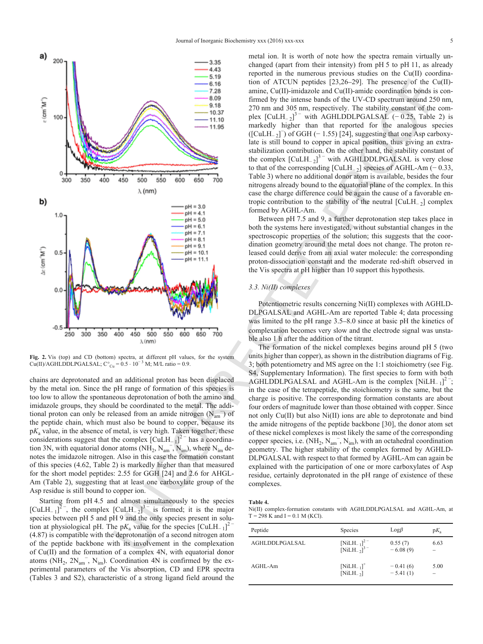

**Fig. 2.** Vis (top) and CD (bottom) spectra, at different pH values, for the system Cu(II)/AGHLDDLPGALSAL;  $C^{\circ}_{Cu} = 0.5 \cdot 10^{-3}$  M; M/L ratio = 0.9.

chains are deprotonated and an additional proton has been displaced by the metal ion. Since the pH range of formation of this species is too low to allow the spontaneous deprotonation of both the amino and imidazole groups, they should be coordinated to the metal. The additional proton can only be released from an amide nitrogen  $(N_{am}^-)$  of the peptide chain, which must also be bound to copper, because its  $pK<sub>a</sub>$  value, in the absence of metal, is very high. Taken together, these considerations suggest that the complex  $\text{[CuLH_{-1}]}^{2}$  has a coordination 3N, with equatorial donor atoms  $(NH_2, N_{am}^-, N_{im})$ , where  $N_{im}$  denotes the imidazole nitrogen. Also in this case the formation constant of this species (4.62, Table 2) is markedly higher than that measured for the short model peptides: 2.55 for GGH [24] and 2.6 for AHGL-Am (Table 2), suggesting that at least one carboxylate group of the Asp residue is still bound to copper ion.

Starting from pH 4.5 and almost simultaneously to the species [CuLH<sub>-1</sub>]<sup>2-</sup>, the complex  $\text{[CuLH-2]}^{3-}$  is formed; it is the major species between pH 5 and pH 9 and the only species present in solution at physiological pH. The p $K_a$  value for the species  $\text{[CuLH<sub>−1</sub>]}^2$ (4.87) is compatible with the deprotonation of a second nitrogen atom of the peptide backbone with its involvement in the complexation of Cu(II) and the formation of a complex 4N, with equatorial donor atoms  $(NH_2, 2N_{am}$ ,  $N_{im}$ ). Coordination 4N is confirmed by the experimental parameters of the Vis absorption, CD and EPR spectra (Tables 3 and S2), characteristic of a strong ligand field around the

metal ion. It is worth of note how the spectra remain virtually unchanged (apart from their intensity) from pH 5 to pH 11, as already reported in the numerous previous studies on the Cu(II) coordination of ATCUN peptides [23,26–29]. The presence of the Cu(II) amine, Cu(II)-imidazole and Cu(II)-amide coordination bonds is confirmed by the intense bands of the UV-CD spectrum around 250 nm, 270 nm and 305 nm, respectively. The stability constant of the complex  $\text{[CuLH$_2$]}^3$  with AGHLDDLPGALSAL (−0.25, Table 2) is markedly higher than that reported for the analogous species  $([CuLH_2]^-)$  of GGH (−1.55) [24], suggesting that one Asp carboxylate is still bound to copper in apical position, thus giving an extrastabilization contribution. On the other hand, the stability constant of the complex  $\text{[CuLH$_2$]}^3$  with AGHLDDLPGALSAL is very close to that of the corresponding  $[CuLH_{-2}]$  species of AGHL-Am (−0.33, Table 3) where no additional donor atom is available, besides the four nitrogens already bound to the equatorial plane of the complex. In this case the charge difference could be again the cause of a favorable entropic contribution to the stability of the neutral  $\text{[CuLH$_2$]}$  complex formed by AGHL-Am.

Between pH 7.5 and 9, a further deprotonation step takes place in both the systems here investigated, without substantial changes in the spectroscopic properties of the solution; this suggests that the coordination geometry around the metal does not change. The proton released could derive from an axial water molecule: the corresponding proton-dissociation constant and the moderate red-shift observed in the Vis spectra at pH higher than 10 support this hypothesis.

#### *3.3. Ni(II) complexes*

Potentiometric results concerning Ni(II) complexes with AGHLD-DLPGALSAL and AGHL-Am are reported Table 4; data processing was limited to the pH range 3.5–8.0 since at basic pH the kinetics of complexation becomes very slow and the electrode signal was unstable also 1 h after the addition of the titrant.

The formation of the nickel complexes begins around pH 5 (two units higher than copper), as shown in the distribution diagrams of Fig. 3; both potentiometry and MS agree on the 1:1 stoichiometry (see Fig. S4, Supplementary Information). The first species to form with both AGHLDDLPGALSAL and AGHL-Am is the complex  $[NiLH_{-1}]^2$ ; in the case of the tetrapeptide, the stoichiometry is the same, but the charge is positive. The corresponding formation constants are about four orders of magnitude lower than those obtained with copper. Since not only Cu(II) but also Ni(II) ions are able to deprotonate and bind the amide nitrogens of the peptide backbone [30], the donor atom set of these nickel complexes is most likely the same of the corresponding copper species, i.e.  $(NH_2, N_{am}^-, N_{im})$ , with an octahedral coordination geometry. The higher stability of the complex formed by AGHLD-DLPGALSAL with respect to that formed by AGHL-Am can again be explained with the participation of one or more carboxylates of Asp residue, certainly deprotonated in the pH range of existence of these complexes.

**Table 4.**

Ni(II) complex-formation constants with AGHLDDLPGALSAL and AGHL-Am, at  $T = 298$  K and  $I = 0.1$  M (KCl).

| Peptide        | <b>Species</b>                                   | $Log\beta$               | $pK_{a}$ |
|----------------|--------------------------------------------------|--------------------------|----------|
| AGHLDDLPGALSAL | [NiLH_1] <sup>2-</sup><br>[NiLH_2] <sup>3-</sup> | 0.55(7)<br>$-6.08(9)$    | 6.63     |
| AGHL-Am        | $[NiLH_{-1}]^+$<br>$[NiLH_2]$                    | $-0.41(6)$<br>$-5.41(1)$ | 5.00     |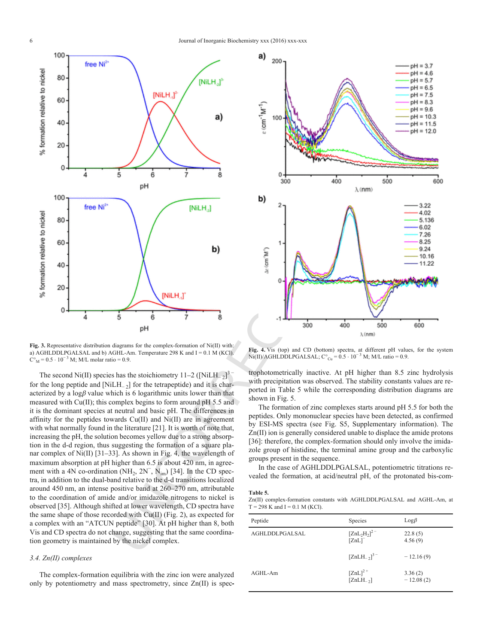

**Fig. 3.** Representative distribution diagrams for the complex-formation of Ni(II) with: a) AGHLDDLPGALSAL and b) AGHL-Am. Temperature  $298$  K and  $I = 0.1$  M (KCl).  $C<sup>o</sup><sub>M</sub> = 0.5 \cdot 10<sup>-3</sup>$  M; M/L molar ratio = 0.9.

The second Ni(II) species has the stoichiometry  $11-2$  ([NiLH<sub>-2</sub>]<sup>3</sup> for the long peptide and  $[NILH<sub>-2</sub>]$  for the tetrapeptide) and it is characterized by a  $log \beta$  value which is 6 logarithmic units lower than that measured with Cu(II); this complex begins to form around pH 5.5 and it is the dominant species at neutral and basic pH. The differences in affinity for the peptides towards Cu(II) and Ni(II) are in agreement with what normally found in the literature [21]. It is worth of note that, increasing the pH, the solution becomes yellow due to a strong absorption in the d-d region, thus suggesting the formation of a square planar complex of Ni(II) [31–33]. As shown in Fig. 4, the wavelength of maximum absorption at pH higher than 6.5 is about 420 nm, in agreement with a 4N co-ordination (NH<sub>2</sub>, 2N<sup>-</sup>, N<sub>im</sub>) [34]. In the CD spectra, in addition to the dual-band relative to the d-d transitions localized around 450 nm, an intense positive band at 260–270 nm, attributable to the coordination of amide and/or imidazole nitrogens to nickel is observed [35]. Although shifted at lower wavelength, CD spectra have the same shape of those recorded with  $Cu(II)$  (Fig. 2), as expected for a complex with an "ATCUN peptide" [30]. At pH higher than 8, both Vis and CD spectra do not change, suggesting that the same coordination geometry is maintained by the nickel complex.

#### *3.4. Zn(II) complexes*

The complex-formation equilibria with the zinc ion were analyzed only by potentiometry and mass spectrometry, since Zn(II) is spec



**Fig. 4.** Vis (top) and CD (bottom) spectra, at different pH values, for the system Ni(II)/AGHLDDLPGALSAL;  $C^{\circ}_{Cu} = 0.5 \cdot 10^{-3}$  M; M/L ratio = 0.9.

trophotometrically inactive. At pH higher than 8.5 zinc hydrolysis with precipitation was observed. The stability constants values are reported in Table 5 while the corresponding distribution diagrams are shown in Fig. 5.

The formation of zinc complexes starts around pH 5.5 for both the peptides. Only mononuclear species have been detected, as confirmed by ESI-MS spectra (see Fig. S5, Supplementary information). The Zn(II) ion is generally considered unable to displace the amide protons [36]: therefore, the complex-formation should only involve the imidazole group of histidine, the terminal amine group and the carboxylic groups present in the sequence.

In the case of AGHLDDLPGALSAL, potentiometric titrations revealed the formation, at acid/neutral pH, of the protonated bis-com

#### **Table 5.**

Zn(II) complex-formation constants with AGHLDDLPGALSAL and AGHL-Am, at  $T = 298$  K and  $I = 0.1$  M (KCl).

| Peptide        | Species                      | $Log\beta$             |
|----------------|------------------------------|------------------------|
| AGHLDDLPGALSAL | $[ZnL_2H_2]^2$<br>[ZnL]      | 22.8(5)<br>4.56(9)     |
|                | $[ZnLH_{-2}]$ <sup>3-</sup>  | $-12.16(9)$            |
| AGHL-Am        | $[ZnL]^{2+}$<br>$[ZnLH_-\,]$ | 3.36(2)<br>$-12.08(2)$ |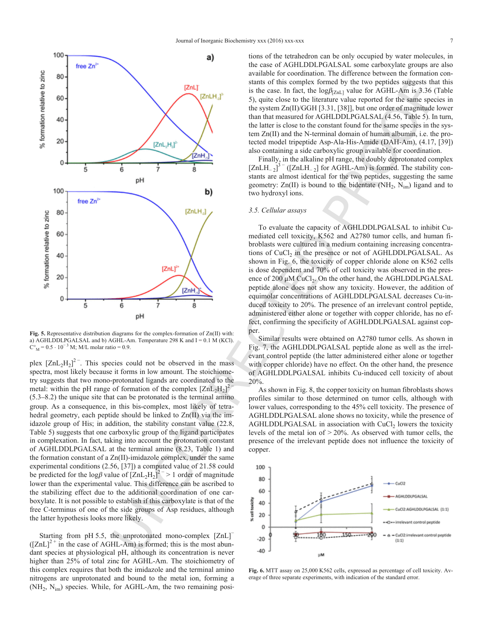

**Fig. 5.** Representative distribution diagrams for the complex-formation of Zn(II) with: a) AGHLDDLPGALSAL and b) AGHL-Am. Temperature 298 K and I = 0.1 M (KCl).  $C<sup>o</sup><sub>M</sub> = 0.5 \cdot 10<sup>-3</sup>$  M; M/L molar ratio = 0.9.

plex  $[ZnL_2H_2]^2$ . This species could not be observed in the mass spectra, most likely because it forms in low amount. The stoichiometry suggests that two mono-protonated ligands are coordinated to the metal: within the pH range of formation of the complex  $[ZnL_2H_2]^2$ (5.3–8.2) the unique site that can be protonated is the terminal amino group. As a consequence, in this bis-complex, most likely of tetrahedral geometry, each peptide should be linked to  $Zn(II)$  via the imidazole group of His; in addition, the stability constant value (22.8, Table 5) suggests that one carboxylic group of the ligand participates in complexation. In fact, taking into account the protonation constant of AGHLDDLPGALSAL at the terminal amine (8.23, Table 1) and the formation constant of a Zn(II)-imidazole complex, under the same experimental conditions (2.56, [37]) a computed value of 21.58 could be predicted for the log $\beta$  value of  $[ZnL_2H_2]^2$ <sup>-</sup> > 1 order of magnitude lower than the experimental value. This difference can be ascribed to the stabilizing effect due to the additional coordination of one carboxylate. It is not possible to establish if this carboxylate is that of the free C-terminus of one of the side groups of Asp residues, although the latter hypothesis looks more likely.

Starting from pH 5.5, the unprotonated mono-complex [ZnL]<sup>−</sup>  $(|ZnL|^2$ <sup>+</sup> in the case of AGHL-Am) is formed; this is the most abundant species at physiological pH, although its concentration is never higher than 25% of total zinc for AGHL-Am. The stoichiometry of this complex requires that both the imidazole and the terminal amino nitrogens are unprotonated and bound to the metal ion, forming a (NH<sub>2</sub>, N<sub>im</sub>) species. While, for AGHL-Am, the two remaining posi

tions of the tetrahedron can be only occupied by water molecules, in the case of AGHLDDLPGALSAL some carboxylate groups are also available for coordination. The difference between the formation constants of this complex formed by the two peptides suggests that this is the case. In fact, the  $logβ_{ZnL}$  value for AGHL-Am is 3.36 (Table 5), quite close to the literature value reported for the same species in the system Zn(II)/GGH [3.31, [38]], but one order of magnitude lower than that measured for AGHLDDLPGALSAL (4.56, Table 5). In turn, the latter is close to the constant found for the same species in the system Zn(II) and the N-terminal domain of human albumin, i.e. the protected model tripeptide Asp-Ala-His-Amide (DAH-Am), (4.17, [39]) also containing a side carboxylic group available for coordination.

Finally, in the alkaline pH range, the doubly deprotonated complex  $[ZnLH_{-2}]$ <sup>3 –</sup> ([ZnLH<sub>-2</sub>] for AGHL-Am) is formed. The stability constants are almost identical for the two peptides, suggesting the same geometry:  $Zn(II)$  is bound to the bidentate  $(NH_2, N_{im})$  ligand and to two hydroxyl ions.

#### *3.5. Cellular assays*

To evaluate the capacity of AGHLDDLPGALSAL to inhibit Cumediated cell toxicity, K562 and A2780 tumor cells, and human fibroblasts were cultured in a medium containing increasing concentrations of  $CuCl<sub>2</sub>$  in the presence or not of AGHLDDLPGALSAL. As shown in Fig. 6, the toxicity of copper chloride alone on K562 cells is dose dependent and 70% of cell toxicity was observed in the presence of 200 μM CuCl<sub>2</sub>. On the other hand, the AGHLDDLPGALSAL peptide alone does not show any toxicity. However, the addition of equimolar concentrations of AGHLDDLPGALSAL decreases Cu-induced toxicity to 20%. The presence of an irrelevant control peptide, administered either alone or together with copper chloride, has no effect, confirming the specificity of AGHLDDLPGALSAL against copper.

Similar results were obtained on A2780 tumor cells. As shown in Fig. 7, the AGHLDDLPGALSAL peptide alone as well as the irrelevant control peptide (the latter administered either alone or together with copper chloride) have no effect. On the other hand, the presence of AGHLDDLPGALSAL inhibits Cu-induced cell toxicity of about 20%.

As shown in Fig. 8, the copper toxicity on human fibroblasts shows profiles similar to those determined on tumor cells, although with lower values, corresponding to the 45% cell toxicity. The presence of AGHLDDLPGALSAL alone shows no toxicity, while the presence of  $AGHLDDLPGALSAL$  in association with  $CuCl<sub>2</sub>$  lowers the toxicity levels of the metal ion of > 20%. As observed with tumor cells, the presence of the irrelevant peptide does not influence the toxicity of copper.



**Fig. 6.** MTT assay on 25,000 K562 cells, expressed as percentage of cell toxicity. Average of three separate experiments, with indication of the standard error.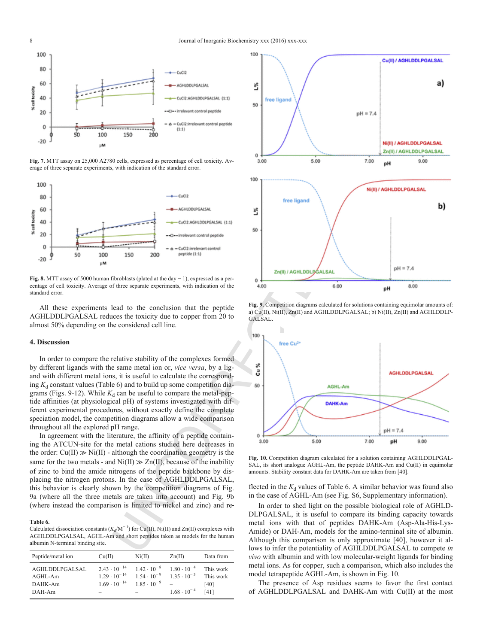

**Fig. 7.** MTT assay on 25,000 A2780 cells, expressed as percentage of cell toxicity. Average of three separate experiments, with indication of the standard error.



**Fig. 8.** MTT assay of 5000 human fibroblasts (plated at the day − 1), expressed as a percentage of cell toxicity. Average of three separate experiments, with indication of the standard error.

All these experiments lead to the conclusion that the peptide AGHLDDLPGALSAL reduces the toxicity due to copper from 20 to almost 50% depending on the considered cell line.

#### **4. Discussion**

In order to compare the relative stability of the complexes formed by different ligands with the same metal ion or, *vice versa*, by a ligand with different metal ions, it is useful to calculate the corresponding  $K_d$  constant values (Table 6) and to build up some competition diagrams (Figs. 9-12). While  $K_d$  can be useful to compare the metal-peptide affinities (at physiological pH) of systems investigated with different experimental procedures, without exactly define the complete speciation model, the competition diagrams allow a wide comparison throughout all the explored pH range.

In agreement with the literature, the affinity of a peptide containing the ATCUN-site for the metal cations studied here decreases in the order:  $Cu(II) \gg Ni(II)$  - although the coordination geometry is the same for the two metals - and  $Ni(II) \gg Zn(II)$ , because of the inability of zinc to bind the amide nitrogens of the peptide backbone by displacing the nitrogen protons. In the case of AGHLDDLPGALSAL, this behavior is clearly shown by the competition diagrams of Fig. 9a (where all the three metals are taken into account) and Fig. 9b (where instead the comparison is limited to nickel and zinc) and re

#### **Table 6.**

Calculated dissociation constants ( $K_d/M^{-1}$ ) for Cu(II), Ni(II) and Zn(II) complexes with AGHLDDLPGALSAL, AGHL-Am and short peptides taken as models for the human albumin N-terminal binding site.

| Peptide/metal ion                              | Cu(II)                                                                  | Ni(II)                                                                                                         | Zn(II)               | Data from                              |
|------------------------------------------------|-------------------------------------------------------------------------|----------------------------------------------------------------------------------------------------------------|----------------------|----------------------------------------|
| AGHLDDLPGALSAL<br>AGHL-Am<br>DAHK-Am<br>DAH-Am | $2.43 \cdot 10^{-14}$<br>$1.29 \cdot 10^{-14}$<br>$1.69 \cdot 10^{-14}$ | $1.42 \cdot 10^{-8}$ $1.80 \cdot 10^{-4}$<br>$1.54 \cdot 10^{-9}$ $1.35 \cdot 10^{-3}$<br>$1.85 \cdot 10^{-9}$ | $1.68 \cdot 10^{-4}$ | This work<br>This work<br>[40]<br>[41] |



**Fig. 9.** Competition diagrams calculated for solutions containing equimolar amounts of: a) Cu(II), Ni(II), Zn(II) and AGHLDDLPGALSAL; b) Ni(II), Zn(II) and AGHLDDLP-GALSAL.



**Fig. 10.** Competition diagram calculated for a solution containing AGHLDDLPGAL-SAL, its short analogue AGHL-Am, the peptide DAHK-Am and Cu(II) in equimolar amounts. Stability constant data for DAHK-Am are taken from [40].

flected in the  $K_d$  values of Table 6. A similar behavior was found also in the case of AGHL-Am (see Fig. S6, Supplementary information).

In order to shed light on the possible biological role of AGHLD-DLPGALSAL, it is useful to compare its binding capacity towards metal ions with that of peptides DAHK-Am (Asp-Ala-His-Lys-Amide) or DAH-Am, models for the amino-terminal site of albumin. Although this comparison is only approximate [40], however it allows to infer the potentiality of AGHLDDLPGALSAL to compete *in vivo* with albumin and with low molecular-weight ligands for binding metal ions. As for copper, such a comparison, which also includes the model tetrapeptide AGHL-Am, is shown in Fig. 10.

The presence of Asp residues seems to favor the first contact of AGHLDDLPGALSAL and DAHK-Am with Cu(II) at the most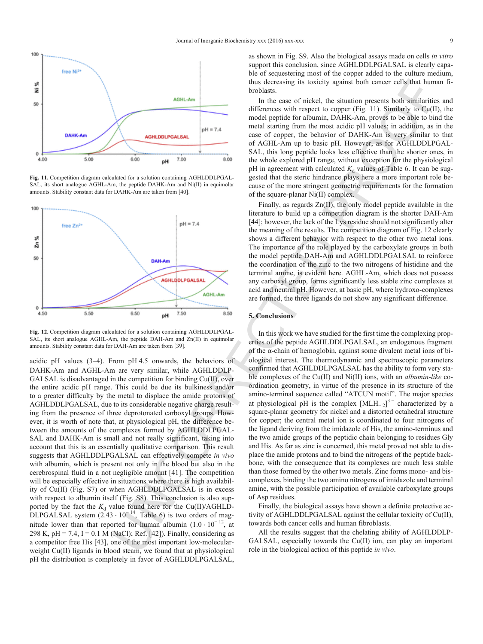

**Fig. 11.** Competition diagram calculated for a solution containing AGHLDDLPGAL-SAL, its short analogue AGHL-Am, the peptide DAHK-Am and Ni(II) in equimolar amounts. Stability constant data for DAHK-Am are taken from [40].



**Fig. 12.** Competition diagram calculated for a solution containing AGHLDDLPGAL-SAL, its short analogue AGHL-Am, the peptide DAH-Am and Zn(II) in equimolar amounts. Stability constant data for DAH-Am are taken from [39].

acidic pH values (3–4). From pH 4.5 onwards, the behaviors of DAHK-Am and AGHL-Am are very similar, while AGHLDDLP-GALSAL is disadvantaged in the competition for binding Cu(II), over the entire acidic pH range. This could be due its bulkiness and/or to a greater difficulty by the metal to displace the amide protons of AGHLDDLPGALSAL, due to its considerable negative charge resulting from the presence of three deprotonated carboxyl groups. However, it is worth of note that, at physiological pH, the difference between the amounts of the complexes formed by AGHLDDLPGAL-SAL and DAHK-Am is small and not really significant, taking into account that this is an essentially qualitative comparison. This result suggests that AGHLDDLPGALSAL can effectively compete *in vivo* with albumin, which is present not only in the blood but also in the cerebrospinal fluid in a not negligible amount [41]. The competition will be especially effective in situations where there is high availability of Cu(II) (Fig. S7) or when AGHLDDLPGALSAL is in excess with respect to albumin itself (Fig. S8). This conclusion is also supported by the fact the  $K_d$  value found here for the Cu(II)/AGHLD-DLPGALSAL system  $(2.43 \cdot 10^{-14}$ , Table 6) is two orders of magnitude lower than that reported for human albumin  $(1.0 \cdot 10^{-12})$ , at 298 K, pH = 7.4, I = 0.1 M (NaCl); Ref. [42]). Finally, considering as a competitor free His [43], one of the most important low-molecularweight Cu(II) ligands in blood steam, we found that at physiological pH the distribution is completely in favor of AGHLDDLPGALSAL,

as shown in Fig. S9. Also the biological assays made on cells *in vitro* support this conclusion, since AGHLDDLPGALSAL is clearly capable of sequestering most of the copper added to the culture medium, thus decreasing its toxicity against both cancer cells that human fibroblasts.

In the case of nickel, the situation presents both similarities and differences with respect to copper (Fig. 11). Similarly to  $Cu(II)$ , the model peptide for albumin, DAHK-Am, proves to be able to bind the metal starting from the most acidic pH values; in addition, as in the case of copper, the behavior of DAHK-Am is very similar to that of AGHL-Am up to basic pH. However, as for AGHLDDLPGAL-SAL, this long peptide looks less effective than the shorter ones, in the whole explored pH range, without exception for the physiological pH in agreement with calculated  $K_d$  values of Table 6. It can be suggested that the steric hindrance plays here a more important role because of the more stringent geometric requirements for the formation of the square-planar Ni(II) complex.

Finally, as regards Zn(II), the only model peptide available in the literature to build up a competition diagram is the shorter DAH-Am [44]; however, the lack of the Lys residue should not significantly alter the meaning of the results. The competition diagram of Fig. 12 clearly shows a different behavior with respect to the other two metal ions. The importance of the role played by the carboxylate groups in both the model peptide DAH-Am and AGHLDDLPGALSAL to reinforce the coordination of the zinc to the two nitrogens of histidine and the terminal amine, is evident here. AGHL-Am, which does not possess any carboxyl group, forms significantly less stable zinc complexes at acid and neutral pH. However, at basic pH, where hydroxo-complexes are formed, the three ligands do not show any significant difference.

#### **5. Conclusions**

From the derivative space of the cost of the section of the section of the section of the section of the section of the section of the section of the section of the section of the section of the section of the section of In this work we have studied for the first time the complexing properties of the peptide AGHLDDLPGALSAL, an endogenous fragment of the α-chain of hemoglobin, against some divalent metal ions of biological interest. The thermodynamic and spectroscopic parameters confirmed that AGHLDDLPGALSAL has the ability to form very stable complexes of the Cu(II) and Ni(II) ions, with an *albumin-like* coordination geometry, in virtue of the presence in its structure of the amino-terminal sequence called "ATCUN motif". The major species at physiological pH is the complex  $[MLH_{2}]^{3}$ <sup>-</sup> characterized by a square-planar geometry for nickel and a distorted octahedral structure for copper; the central metal ion is coordinated to four nitrogens of the ligand deriving from the imidazole of His, the amino-terminus and the two amide groups of the peptidic chain belonging to residues Gly and His. As far as zinc is concerned, this metal proved not able to displace the amide protons and to bind the nitrogens of the peptide backbone, with the consequence that its complexes are much less stable than those formed by the other two metals. Zinc forms mono- and biscomplexes, binding the two amino nitrogens of imidazole and terminal amine, with the possible participation of available carboxylate groups of Asp residues.

Finally, the biological assays have shown a definite protective activity of AGHLDDLPGALSAL against the cellular toxicity of Cu(II), towards both cancer cells and human fibroblasts.

All the results suggest that the chelating ability of AGHLDDLP-GALSAL, especially towards the Cu(II) ion, can play an important role in the biological action of this peptide *in vivo*.